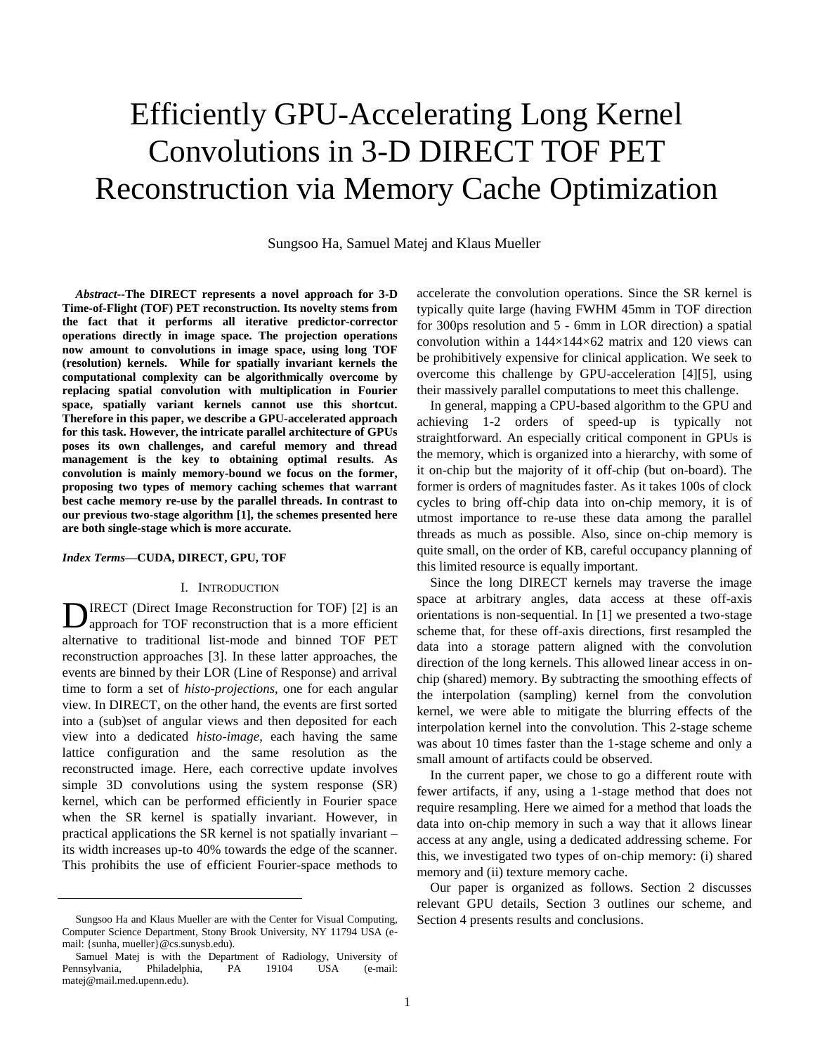# Efficiently GPU-Accelerating Long Kernel Convolutions in 3-D DIRECT TOF PET Reconstruction via Memory Cache Optimization

Sungsoo Ha, Samuel Matej and Klaus Mueller

*Abstract***--The DIRECT represents a novel approach for 3-D Time-of-Flight (TOF) PET reconstruction. Its novelty stems from the fact that it performs all iterative predictor-corrector operations directly in image space. The projection operations now amount to convolutions in image space, using long TOF (resolution) kernels. While for spatially invariant kernels the computational complexity can be algorithmically overcome by replacing spatial convolution with multiplication in Fourier space, spatially variant kernels cannot use this shortcut. Therefore in this paper, we describe a GPU-accelerated approach for this task. However, the intricate parallel architecture of GPUs poses its own challenges, and careful memory and thread management is the key to obtaining optimal results. As convolution is mainly memory-bound we focus on the former, proposing two types of memory caching schemes that warrant best cache memory re-use by the parallel threads. In contrast to our previous two-stage algorithm [\[1\],](#page-3-0) the schemes presented here are both single-stage which is more accurate.** 

#### *Index Terms***—CUDA, DIRECT, GPU, TOF**

#### I. INTRODUCTION

IRECT (Direct Image Reconstruction for TOF) [\[2\]](#page-3-1) is an **D**IRECT (Direct Image Reconstruction for TOF) [2] is an approach for TOF reconstruction that is a more efficient alternative to traditional list-mode and binned TOF PET reconstruction approaches [\[3\].](#page-3-2) In these latter approaches, the events are binned by their LOR (Line of Response) and arrival time to form a set of *histo-projections*, one for each angular view. In DIRECT, on the other hand, the events are first sorted into a (sub)set of angular views and then deposited for each view into a dedicated *histo-image*, each having the same lattice configuration and the same resolution as the reconstructed image. Here, each corrective update involves simple 3D convolutions using the system response (SR) kernel, which can be performed efficiently in Fourier space when the SR kernel is spatially invariant. However, in practical applications the SR kernel is not spatially invariant – its width increases up-to 40% towards the edge of the scanner. This prohibits the use of efficient Fourier-space methods to

accelerate the convolution operations. Since the SR kernel is typically quite large (having FWHM 45mm in TOF direction for 300ps resolution and 5 - 6mm in LOR direction) a spatial convolution within a  $144\times144\times62$  matrix and 120 views can be prohibitively expensive for clinical application. We seek to overcome this challenge by GPU-acceleration [\[4\]\[5\],](#page-3-3) using their massively parallel computations to meet this challenge.

In general, mapping a CPU-based algorithm to the GPU and achieving 1-2 orders of speed-up is typically not straightforward. An especially critical component in GPUs is the memory, which is organized into a hierarchy, with some of it on-chip but the majority of it off-chip (but on-board). The former is orders of magnitudes faster. As it takes 100s of clock cycles to bring off-chip data into on-chip memory, it is of utmost importance to re-use these data among the parallel threads as much as possible. Also, since on-chip memory is quite small, on the order of KB, careful occupancy planning of this limited resource is equally important.

Since the long DIRECT kernels may traverse the image space at arbitrary angles, data access at these off-axis orientations is non-sequential. In [\[1\]](#page-3-0) we presented a two-stage scheme that, for these off-axis directions, first resampled the data into a storage pattern aligned with the convolution direction of the long kernels. This allowed linear access in onchip (shared) memory. By subtracting the smoothing effects of the interpolation (sampling) kernel from the convolution kernel, we were able to mitigate the blurring effects of the interpolation kernel into the convolution. This 2-stage scheme was about 10 times faster than the 1-stage scheme and only a small amount of artifacts could be observed.

In the current paper, we chose to go a different route with fewer artifacts, if any, using a 1-stage method that does not require resampling. Here we aimed for a method that loads the data into on-chip memory in such a way that it allows linear access at any angle, using a dedicated addressing scheme. For this, we investigated two types of on-chip memory: (i) shared memory and (ii) texture memory cache.

Our paper is organized as follows. Section 2 discusses relevant GPU details, Section 3 outlines our scheme, and Section 4 presents results and conclusions.

Sungsoo Ha and Klaus Mueller are with the Center for Visual Computing, Computer Science Department, Stony Brook University, NY 11794 USA (email: {sunha, mueller}@cs.sunysb.edu).

Samuel Matej is with the Department of Radiology, University of Pennsylvania, Philadelphia, PA 19104 USA (e-mail: matej@mail.med.upenn.edu).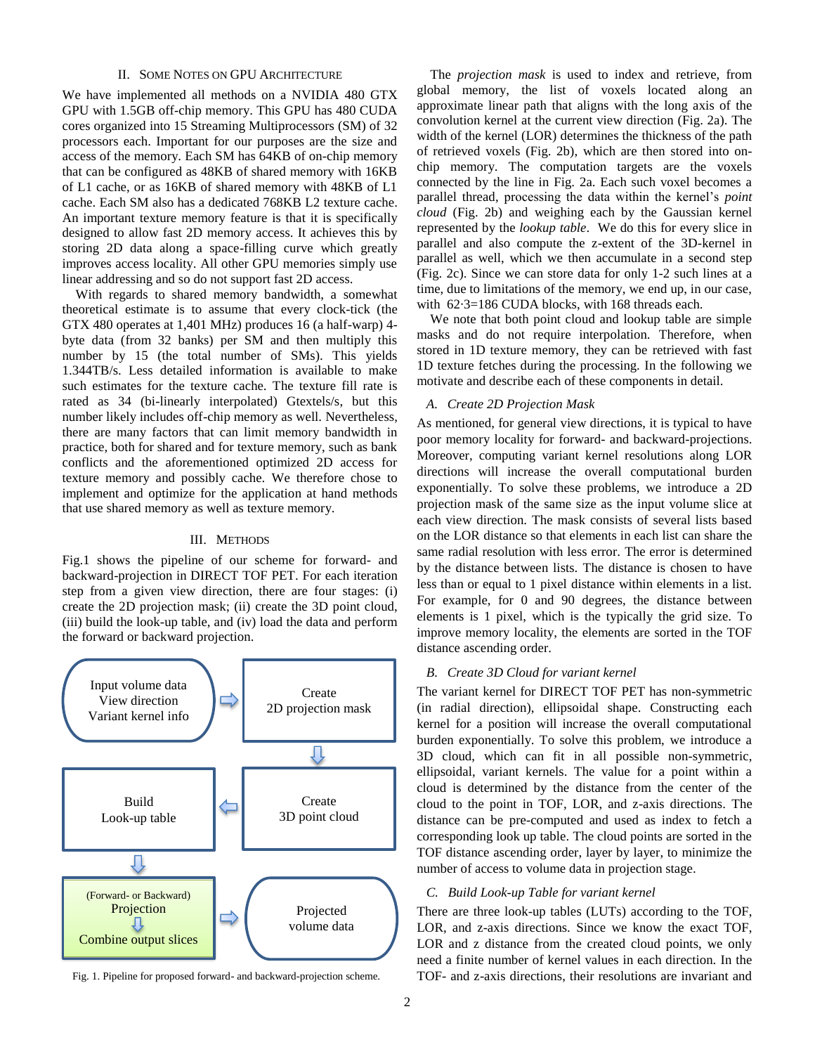### II. SOME NOTES ON GPU ARCHITECTURE

We have implemented all methods on a NVIDIA 480 GTX GPU with 1.5GB off-chip memory. This GPU has 480 CUDA cores organized into 15 Streaming Multiprocessors (SM) of 32 processors each. Important for our purposes are the size and access of the memory. Each SM has 64KB of on-chip memory that can be configured as 48KB of shared memory with 16KB of L1 cache, or as 16KB of shared memory with 48KB of L1 cache. Each SM also has a dedicated 768KB L2 texture cache. An important texture memory feature is that it is specifically designed to allow fast 2D memory access. It achieves this by storing 2D data along a space-filling curve which greatly improves access locality. All other GPU memories simply use linear addressing and so do not support fast 2D access.

With regards to shared memory bandwidth, a somewhat theoretical estimate is to assume that every clock-tick (the GTX 480 operates at 1,401 MHz) produces 16 (a half-warp) 4 byte data (from 32 banks) per SM and then multiply this number by 15 (the total number of SMs). This yields 1.344TB/s. Less detailed information is available to make such estimates for the texture cache. The texture fill rate is rated as 34 (bi-linearly interpolated) Gtextels/s, but this number likely includes off-chip memory as well. Nevertheless, there are many factors that can limit memory bandwidth in practice, both for shared and for texture memory, such as bank conflicts and the aforementioned optimized 2D access for texture memory and possibly cache. We therefore chose to implement and optimize for the application at hand methods that use shared memory as well as texture memory.

#### III. METHODS

Fig.1 shows the pipeline of our scheme for forward- and backward-projection in DIRECT TOF PET. For each iteration step from a given view direction, there are four stages: (i) create the 2D projection mask; (ii) create the 3D point cloud, (iii) build the look-up table, and (iv) load the data and perform the forward or backward projection.



Fig. 1. Pipeline for proposed forward- and backward-projection scheme.

The *projection mask* is used to index and retrieve, from global memory, the list of voxels located along an approximate linear path that aligns with the long axis of the convolution kernel at the current view direction (Fig. 2a). The width of the kernel (LOR) determines the thickness of the path of retrieved voxels (Fig. 2b), which are then stored into onchip memory. The computation targets are the voxels connected by the line in Fig. 2a. Each such voxel becomes a parallel thread, processing the data within the kernel"s *point cloud* (Fig. 2b) and weighing each by the Gaussian kernel represented by the *lookup table*. We do this for every slice in parallel and also compute the z-extent of the 3D-kernel in parallel as well, which we then accumulate in a second step (Fig. 2c). Since we can store data for only 1-2 such lines at a time, due to limitations of the memory, we end up, in our case, with  $62.3=186$  CUDA blocks, with 168 threads each.

We note that both point cloud and lookup table are simple masks and do not require interpolation. Therefore, when stored in 1D texture memory, they can be retrieved with fast 1D texture fetches during the processing. In the following we motivate and describe each of these components in detail.

### *A. Create 2D Projection Mask*

As mentioned, for general view directions, it is typical to have poor memory locality for forward- and backward-projections. Moreover, computing variant kernel resolutions along LOR directions will increase the overall computational burden exponentially. To solve these problems, we introduce a 2D projection mask of the same size as the input volume slice at each view direction. The mask consists of several lists based on the LOR distance so that elements in each list can share the same radial resolution with less error. The error is determined by the distance between lists. The distance is chosen to have less than or equal to 1 pixel distance within elements in a list. For example, for 0 and 90 degrees, the distance between elements is 1 pixel, which is the typically the grid size. To improve memory locality, the elements are sorted in the TOF distance ascending order.

#### *B. Create 3D Cloud for variant kernel*

The variant kernel for DIRECT TOF PET has non-symmetric (in radial direction), ellipsoidal shape. Constructing each kernel for a position will increase the overall computational burden exponentially. To solve this problem, we introduce a 3D cloud, which can fit in all possible non-symmetric, ellipsoidal, variant kernels. The value for a point within a cloud is determined by the distance from the center of the cloud to the point in TOF, LOR, and z-axis directions. The distance can be pre-computed and used as index to fetch a corresponding look up table. The cloud points are sorted in the TOF distance ascending order, layer by layer, to minimize the number of access to volume data in projection stage.

## *C. Build Look-up Table for variant kernel*

There are three look-up tables (LUTs) according to the TOF, LOR, and z-axis directions. Since we know the exact TOF, LOR and z distance from the created cloud points, we only need a finite number of kernel values in each direction. In the TOF- and z-axis directions, their resolutions are invariant and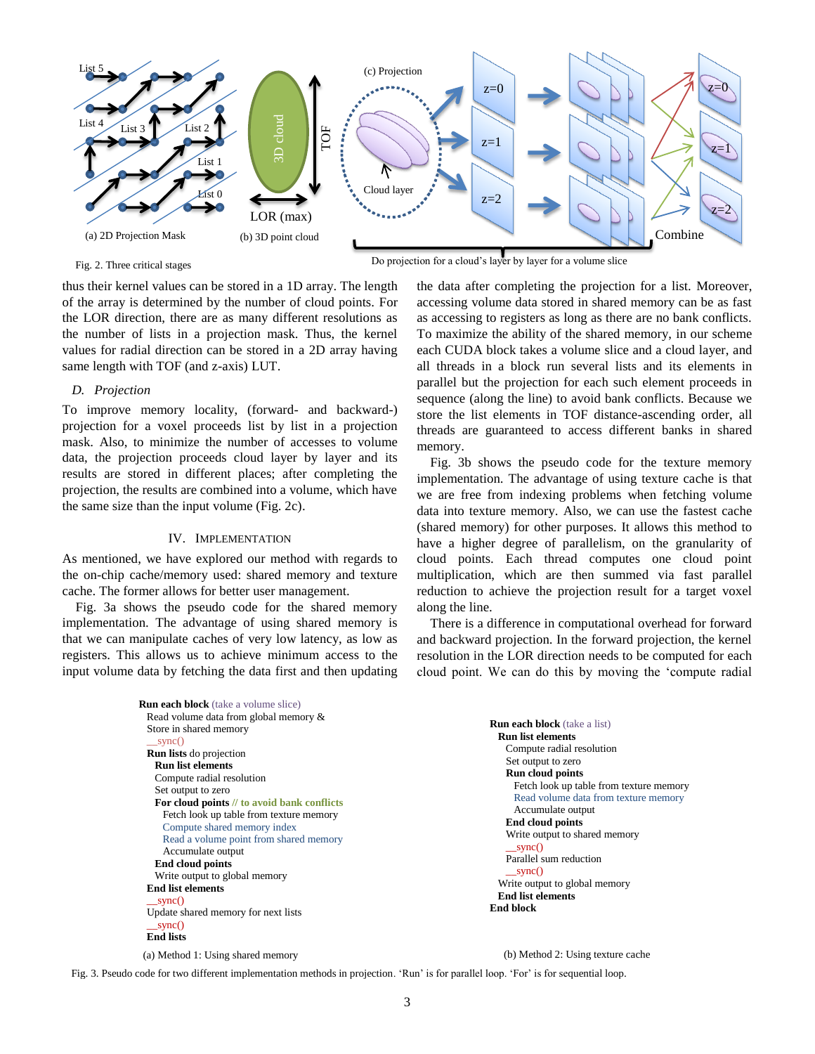

Fig. 2. Three critical stages

Do projection for a cloud"s layer by layer for a volume slice

. thus their kernel values can be stored in a 1D array. The length of the array is determined by the number of cloud points. For the LOR direction, there are as many different resolutions as the number of lists in a projection mask. Thus, the kernel values for radial direction can be stored in a 2D array having same length with TOF (and z-axis) LUT.

#### *D. Projection*

To improve memory locality, (forward- and backward-) projection for a voxel proceeds list by list in a projection mask. Also, to minimize the number of accesses to volume data, the projection proceeds cloud layer by layer and its results are stored in different places; after completing the projection, the results are combined into a volume, which have the same size than the input volume (Fig. 2c).

#### IV. IMPLEMENTATION

As mentioned, we have explored our method with regards to the on-chip cache/memory used: shared memory and texture cache. The former allows for better user management.

Fig. 3a shows the pseudo code for the shared memory implementation. The advantage of using shared memory is that we can manipulate caches of very low latency, as low as registers. This allows us to achieve minimum access to the input volume data by fetching the data first and then updating the data after completing the projection for a list. Moreover, accessing volume data stored in shared memory can be as fast as accessing to registers as long as there are no bank conflicts. To maximize the ability of the shared memory, in our scheme each CUDA block takes a volume slice and a cloud layer, and all threads in a block run several lists and its elements in parallel but the projection for each such element proceeds in sequence (along the line) to avoid bank conflicts. Because we store the list elements in TOF distance-ascending order, all threads are guaranteed to access different banks in shared memory.

Fig. 3b shows the pseudo code for the texture memory implementation. The advantage of using texture cache is that we are free from indexing problems when fetching volume data into texture memory. Also, we can use the fastest cache (shared memory) for other purposes. It allows this method to have a higher degree of parallelism, on the granularity of cloud points. Each thread computes one cloud point multiplication, which are then summed via fast parallel reduction to achieve the projection result for a target voxel along the line.

There is a difference in computational overhead for forward and backward projection. In the forward projection, the kernel resolution in the LOR direction needs to be computed for each cloud point. We can do this by moving the "compute radial

```
Run each block (take a volume slice)
Read volume data from global memory &
Store in shared memory
  swnc() Run lists do projection
  Run list elements 
  Compute radial resolution
  Set output to zero
  For cloud points // to avoid bank conflicts
    Fetch look up table from texture memory
    Compute shared memory index
    Read a volume point from shared memory
    Accumulate output
  End cloud points
  Write output to global memory
End list elements
   __sync()
Update shared memory for next lists 
  sync() End lists
                                                                                Run each block (take a list)
                                                                                   Run list elements 
                                                                                     Compute radial resolution
                                                                                     Set output to zero
                                                                                     Run cloud points 
                                                                                       Fetch look up table from texture memory
                                                                                       Read volume data from texture memory
                                                                                       Accumulate output
                                                                                     End cloud points
                                                                                     Write output to shared memory
                                                                                      \squaresync()
                                                                                     Parallel sum reduction
                                                                                      \text{gync}() Write output to global memory
                                                                                   End list elements 
                                                                                End block
```
(a) Method 1: Using shared memory

(b) Method 2: Using texture cache

Fig. 3. Pseudo code for two different implementation methods in projection. "Run" is for parallel loop. "For" is for sequential loop. . .